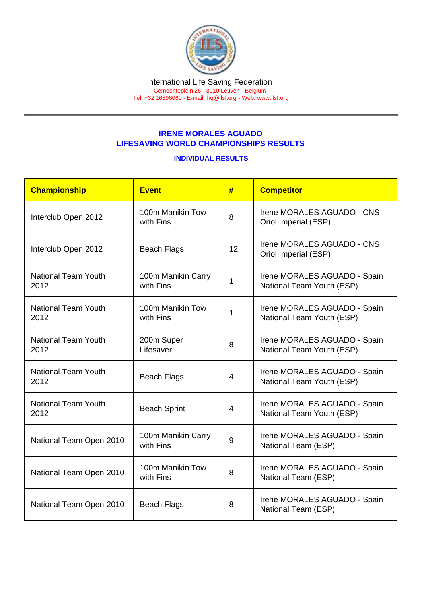## IRENE MORALES AGUADO LIFESAVING WORLD CHAMPIONSHIPS RESULTS

## INDIVIDUAL RESULTS

| Championship                       | Event                           | #              | <b>Competitor</b>                                         |
|------------------------------------|---------------------------------|----------------|-----------------------------------------------------------|
| Interclub Open 2012                | 100m Manikin Tow<br>with Fins   | 8              | Irene MORALES AGUADO - CNS<br>Oriol Imperial (ESP)        |
| Interclub Open 2012                | <b>Beach Flags</b>              | 12             | Irene MORALES AGUADO - CNS<br>Oriol Imperial (ESP)        |
| <b>National Team Youth</b><br>2012 | 100m Manikin Carry<br>with Fins | 1              | Irene MORALES AGUADO - Spain<br>National Team Youth (ESP) |
| <b>National Team Youth</b><br>2012 | 100m Manikin Tow<br>with Fins   | 1              | Irene MORALES AGUADO - Spain<br>National Team Youth (ESP) |
| <b>National Team Youth</b><br>2012 | 200m Super<br>Lifesaver         | 8              | Irene MORALES AGUADO - Spain<br>National Team Youth (ESP) |
| <b>National Team Youth</b><br>2012 | <b>Beach Flags</b>              | $\overline{4}$ | Irene MORALES AGUADO - Spain<br>National Team Youth (ESP) |
| <b>National Team Youth</b><br>2012 | <b>Beach Sprint</b>             | $\overline{4}$ | Irene MORALES AGUADO - Spain<br>National Team Youth (ESP) |
| National Team Open 2010            | 100m Manikin Carry<br>with Fins | 9              | Irene MORALES AGUADO - Spain<br>National Team (ESP)       |
| National Team Open 2010            | 100m Manikin Tow<br>with Fins   | 8              | Irene MORALES AGUADO - Spain<br>National Team (ESP)       |
| National Team Open 2010            | <b>Beach Flags</b>              | 8              | Irene MORALES AGUADO - Spain<br>National Team (ESP)       |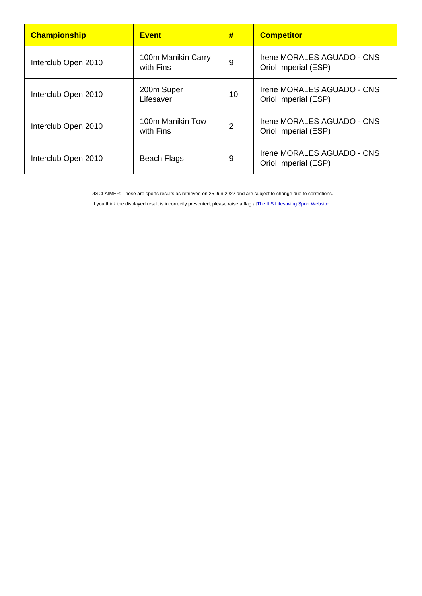| <b>Championship</b> | <b>Event</b>                    | #  | <b>Competitor</b>                                  |
|---------------------|---------------------------------|----|----------------------------------------------------|
| Interclub Open 2010 | 100m Manikin Carry<br>with Fins | 9  | Irene MORALES AGUADO - CNS<br>Oriol Imperial (ESP) |
| Interclub Open 2010 | 200m Super<br>Lifesaver         | 10 | Irene MORALES AGUADO - CNS<br>Oriol Imperial (ESP) |
| Interclub Open 2010 | 100m Manikin Tow<br>with Fins   | 2  | Irene MORALES AGUADO - CNS<br>Oriol Imperial (ESP) |
| Interclub Open 2010 | Beach Flags                     | 9  | Irene MORALES AGUADO - CNS<br>Oriol Imperial (ESP) |

DISCLAIMER: These are sports results as retrieved on 25 Jun 2022 and are subject to change due to corrections.

If you think the displayed result is incorrectly presented, please raise a flag at [The ILS Lifesaving Sport Website.](https://sport.ilsf.org)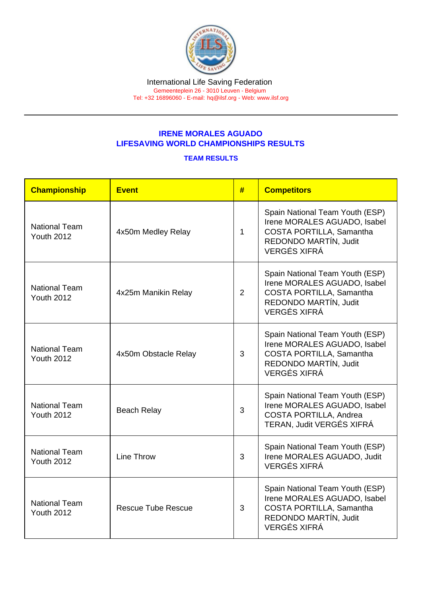## IRENE MORALES AGUADO LIFESAVING WORLD CHAMPIONSHIPS RESULTS

## TEAM RESULTS

| Championship                              | <b>Event</b>              | #            | <b>Competitors</b>                                                                                                                          |
|-------------------------------------------|---------------------------|--------------|---------------------------------------------------------------------------------------------------------------------------------------------|
| <b>National Team</b><br><b>Youth 2012</b> | 4x50m Medley Relay        | $\mathbf{1}$ | Spain National Team Youth (ESP)<br>Irene MORALES AGUADO, Isabel<br>COSTA PORTILLA, Samantha<br>REDONDO MARTÍN, Judit<br><b>VERGÉS XIFRÁ</b> |
| <b>National Team</b><br><b>Youth 2012</b> | 4x25m Manikin Relay       | 2            | Spain National Team Youth (ESP)<br>Irene MORALES AGUADO, Isabel<br>COSTA PORTILLA, Samantha<br>REDONDO MARTÍN, Judit<br><b>VERGÉS XIFRÁ</b> |
| <b>National Team</b><br><b>Youth 2012</b> | 4x50m Obstacle Relay      | 3            | Spain National Team Youth (ESP)<br>Irene MORALES AGUADO, Isabel<br>COSTA PORTILLA, Samantha<br>REDONDO MARTÍN, Judit<br><b>VERGÉS XIFRÁ</b> |
| <b>National Team</b><br><b>Youth 2012</b> | <b>Beach Relay</b>        | 3            | Spain National Team Youth (ESP)<br>Irene MORALES AGUADO, Isabel<br>COSTA PORTILLA, Andrea<br>TERAN, Judit VERGÉS XIFRÁ                      |
| <b>National Team</b><br><b>Youth 2012</b> | <b>Line Throw</b>         | 3            | Spain National Team Youth (ESP)<br>Irene MORALES AGUADO, Judit<br><b>VERGÉS XIFRÁ</b>                                                       |
| <b>National Team</b><br><b>Youth 2012</b> | <b>Rescue Tube Rescue</b> | 3            | Spain National Team Youth (ESP)<br>Irene MORALES AGUADO, Isabel<br>COSTA PORTILLA, Samantha<br>REDONDO MARTÍN, Judit<br><b>VERGÉS XIFRÁ</b> |